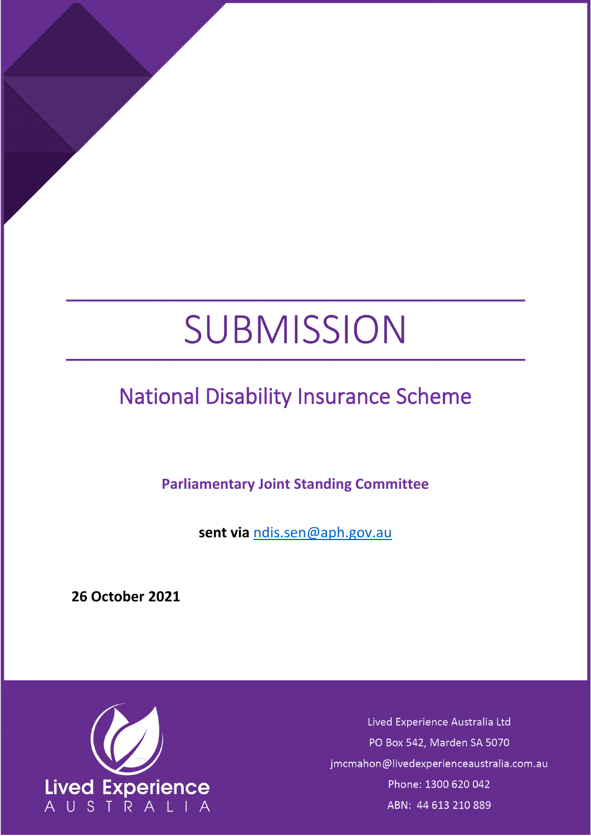# SUBMISSION

# National Disability Insurance Scheme

**Parliamentary Joint Standing Committee**

**sent via** [ndis.sen@aph.gov.au](mailto:ndis.sen@aph.gov.au)

**26 October 2021**



Lived Experience Australia Ltd PO Box 542, Marden SA 5070 jmcmahon@livedexperienceaustralia.com.au Phone: 1300 620 042 ABN: 44 613 210 889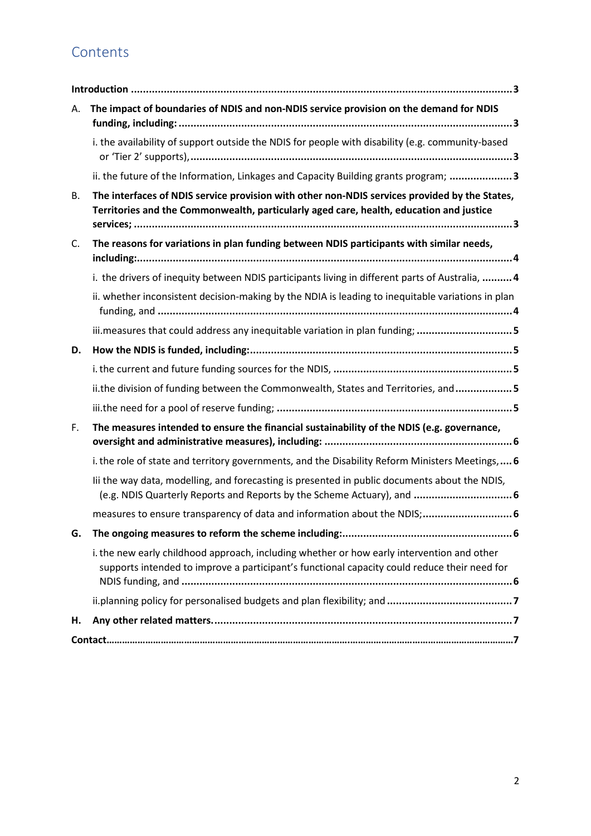# **Contents**

| А. | The impact of boundaries of NDIS and non-NDIS service provision on the demand for NDIS                                                                                                     |
|----|--------------------------------------------------------------------------------------------------------------------------------------------------------------------------------------------|
|    |                                                                                                                                                                                            |
|    | i. the availability of support outside the NDIS for people with disability (e.g. community-based                                                                                           |
|    | ii. the future of the Information, Linkages and Capacity Building grants program; 3                                                                                                        |
| В. | The interfaces of NDIS service provision with other non-NDIS services provided by the States,<br>Territories and the Commonwealth, particularly aged care, health, education and justice   |
| C. | The reasons for variations in plan funding between NDIS participants with similar needs,                                                                                                   |
|    | i. the drivers of inequity between NDIS participants living in different parts of Australia, 4                                                                                             |
|    | ii. whether inconsistent decision-making by the NDIA is leading to inequitable variations in plan                                                                                          |
|    | iii. measures that could address any inequitable variation in plan funding; 5                                                                                                              |
| D. |                                                                                                                                                                                            |
|    |                                                                                                                                                                                            |
|    | ii.the division of funding between the Commonwealth, States and Territories, and5                                                                                                          |
|    |                                                                                                                                                                                            |
| F. | The measures intended to ensure the financial sustainability of the NDIS (e.g. governance,                                                                                                 |
|    | i. the role of state and territory governments, and the Disability Reform Ministers Meetings, 6                                                                                            |
|    | lii the way data, modelling, and forecasting is presented in public documents about the NDIS,<br>(e.g. NDIS Quarterly Reports and Reports by the Scheme Actuary), and  6                   |
|    | measures to ensure transparency of data and information about the NDIS;  6                                                                                                                 |
| G. |                                                                                                                                                                                            |
|    | i. the new early childhood approach, including whether or how early intervention and other<br>supports intended to improve a participant's functional capacity could reduce their need for |
|    |                                                                                                                                                                                            |
| Н. |                                                                                                                                                                                            |
|    |                                                                                                                                                                                            |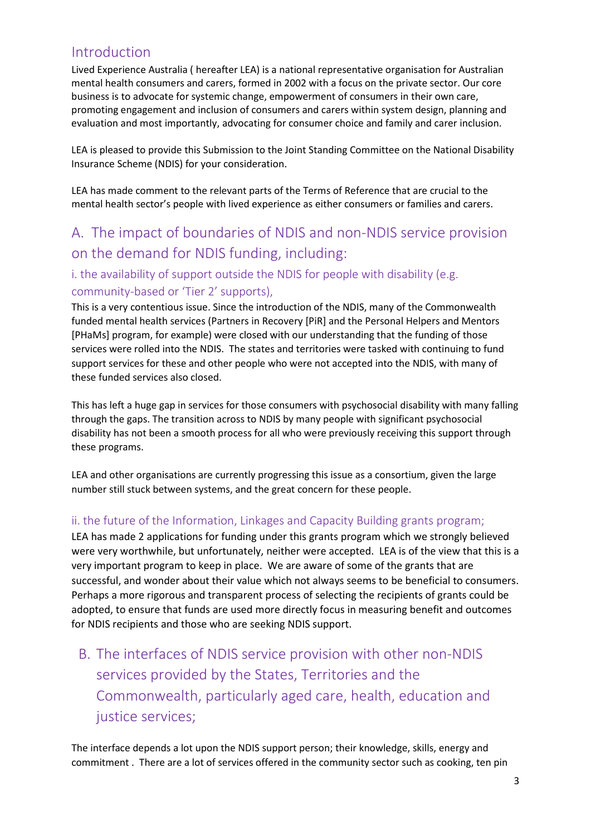### <span id="page-2-0"></span>Introduction

Lived Experience Australia ( hereafter LEA) is a national representative organisation for Australian mental health consumers and carers, formed in 2002 with a focus on the private sector. Our core business is to advocate for systemic change, empowerment of consumers in their own care, promoting engagement and inclusion of consumers and carers within system design, planning and evaluation and most importantly, advocating for consumer choice and family and carer inclusion.

LEA is pleased to provide this Submission to the Joint Standing Committee on the National Disability Insurance Scheme (NDIS) for your consideration.

LEA has made comment to the relevant parts of the Terms of Reference that are crucial to the mental health sector's people with lived experience as either consumers or families and carers.

# <span id="page-2-1"></span>A. The impact of boundaries of NDIS and non-NDIS service provision on the demand for NDIS funding, including:

#### <span id="page-2-2"></span>i. the availability of support outside the NDIS for people with disability (e.g. community-based or 'Tier 2' supports),

This is a very contentious issue. Since the introduction of the NDIS, many of the Commonwealth funded mental health services (Partners in Recovery [PiR] and the Personal Helpers and Mentors [PHaMs] program, for example) were closed with our understanding that the funding of those services were rolled into the NDIS. The states and territories were tasked with continuing to fund support services for these and other people who were not accepted into the NDIS, with many of these funded services also closed.

This has left a huge gap in services for those consumers with psychosocial disability with many falling through the gaps. The transition across to NDIS by many people with significant psychosocial disability has not been a smooth process for all who were previously receiving this support through these programs.

LEA and other organisations are currently progressing this issue as a consortium, given the large number still stuck between systems, and the great concern for these people.

#### <span id="page-2-3"></span>ii. the future of the Information, Linkages and Capacity Building grants program;

LEA has made 2 applications for funding under this grants program which we strongly believed were very worthwhile, but unfortunately, neither were accepted. LEA is of the view that this is a very important program to keep in place. We are aware of some of the grants that are successful, and wonder about their value which not always seems to be beneficial to consumers. Perhaps a more rigorous and transparent process of selecting the recipients of grants could be adopted, to ensure that funds are used more directly focus in measuring benefit and outcomes for NDIS recipients and those who are seeking NDIS support.

# <span id="page-2-4"></span>B. The interfaces of NDIS service provision with other non-NDIS services provided by the States, Territories and the Commonwealth, particularly aged care, health, education and justice services;

The interface depends a lot upon the NDIS support person; their knowledge, skills, energy and commitment . There are a lot of services offered in the community sector such as cooking, ten pin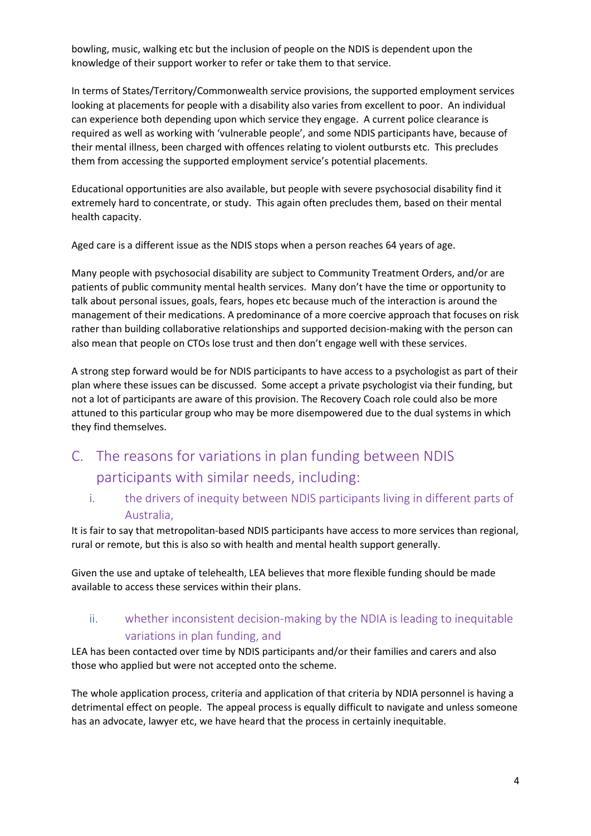bowling, music, walking etc but the inclusion of people on the NDIS is dependent upon the knowledge of their support worker to refer or take them to that service.

In terms of States/Territory/Commonwealth service provisions, the supported employment services looking at placements for people with a disability also varies from excellent to poor. An individual can experience both depending upon which service they engage. A current police clearance is required as well as working with 'vulnerable people', and some NDIS participants have, because of their mental illness, been charged with offences relating to violent outbursts etc. This precludes them from accessing the supported employment service's potential placements.

Educational opportunities are also available, but people with severe psychosocial disability find it extremely hard to concentrate, or study. This again often precludes them, based on their mental health capacity.

Aged care is a different issue as the NDIS stops when a person reaches 64 years of age.

Many people with psychosocial disability are subject to Community Treatment Orders, and/or are patients of public community mental health services. Many don't have the time or opportunity to talk about personal issues, goals, fears, hopes etc because much of the interaction is around the management of their medications. A predominance of a more coercive approach that focuses on risk rather than building collaborative relationships and supported decision-making with the person can also mean that people on CTOs lose trust and then don't engage well with these services.

A strong step forward would be for NDIS participants to have access to a psychologist as part of their plan where these issues can be discussed. Some accept a private psychologist via their funding, but not a lot of participants are aware of this provision. The Recovery Coach role could also be more attuned to this particular group who may be more disempowered due to the dual systems in which they find themselves.

# <span id="page-3-0"></span>C. The reasons for variations in plan funding between NDIS participants with similar needs, including:

#### <span id="page-3-1"></span>i. the drivers of inequity between NDIS participants living in different parts of Australia,

It is fair to say that metropolitan-based NDIS participants have access to more services than regional, rural or remote, but this is also so with health and mental health support generally.

Given the use and uptake of telehealth, LEA believes that more flexible funding should be made available to access these services within their plans.

#### <span id="page-3-2"></span>ii. whether inconsistent decision-making by the NDIA is leading to inequitable variations in plan funding, and

LEA has been contacted over time by NDIS participants and/or their families and carers and also those who applied but were not accepted onto the scheme.

The whole application process, criteria and application of that criteria by NDIA personnel is having a detrimental effect on people. The appeal process is equally difficult to navigate and unless someone has an advocate, lawyer etc, we have heard that the process in certainly inequitable.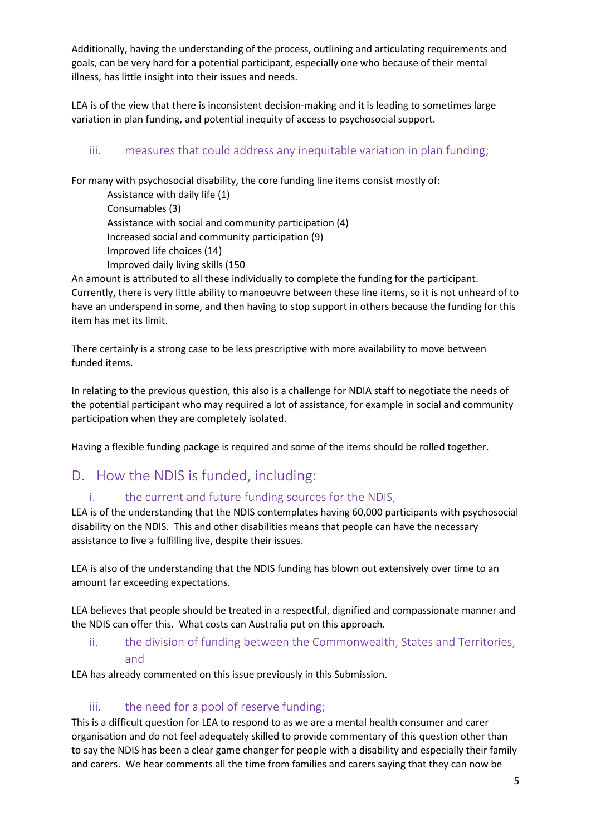Additionally, having the understanding of the process, outlining and articulating requirements and goals, can be very hard for a potential participant, especially one who because of their mental illness, has little insight into their issues and needs.

LEA is of the view that there is inconsistent decision-making and it is leading to sometimes large variation in plan funding, and potential inequity of access to psychosocial support.

#### <span id="page-4-0"></span>iii. measures that could address any inequitable variation in plan funding;

For many with psychosocial disability, the core funding line items consist mostly of:

Assistance with daily life (1) Consumables (3) Assistance with social and community participation (4) Increased social and community participation (9) Improved life choices (14) Improved daily living skills (150

An amount is attributed to all these individually to complete the funding for the participant. Currently, there is very little ability to manoeuvre between these line items, so it is not unheard of to have an underspend in some, and then having to stop support in others because the funding for this item has met its limit.

There certainly is a strong case to be less prescriptive with more availability to move between funded items.

In relating to the previous question, this also is a challenge for NDIA staff to negotiate the needs of the potential participant who may required a lot of assistance, for example in social and community participation when they are completely isolated.

<span id="page-4-1"></span>Having a flexible funding package is required and some of the items should be rolled together.

# D. How the NDIS is funded, including:

#### <span id="page-4-2"></span>i. the current and future funding sources for the NDIS,

LEA is of the understanding that the NDIS contemplates having 60,000 participants with psychosocial disability on the NDIS. This and other disabilities means that people can have the necessary assistance to live a fulfilling live, despite their issues.

LEA is also of the understanding that the NDIS funding has blown out extensively over time to an amount far exceeding expectations.

LEA believes that people should be treated in a respectful, dignified and compassionate manner and the NDIS can offer this. What costs can Australia put on this approach.

<span id="page-4-3"></span>ii. the division of funding between the Commonwealth, States and Territories, and

LEA has already commented on this issue previously in this Submission.

#### <span id="page-4-4"></span>iii. the need for a pool of reserve funding;

This is a difficult question for LEA to respond to as we are a mental health consumer and carer organisation and do not feel adequately skilled to provide commentary of this question other than to say the NDIS has been a clear game changer for people with a disability and especially their family and carers. We hear comments all the time from families and carers saying that they can now be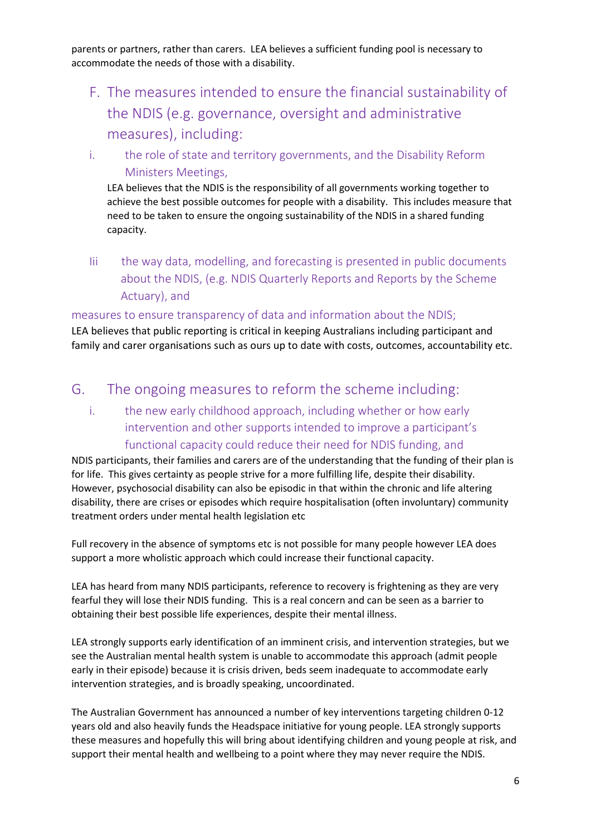parents or partners, rather than carers. LEA believes a sufficient funding pool is necessary to accommodate the needs of those with a disability.

- <span id="page-5-0"></span>F. The measures intended to ensure the financial sustainability of the NDIS (e.g. governance, oversight and administrative measures), including:
- <span id="page-5-1"></span>i. the role of state and territory governments, and the Disability Reform Ministers Meetings,

LEA believes that the NDIS is the responsibility of all governments working together to achieve the best possible outcomes for people with a disability. This includes measure that need to be taken to ensure the ongoing sustainability of the NDIS in a shared funding capacity.

<span id="page-5-2"></span>Iii the way data, modelling, and forecasting is presented in public documents about the NDIS, (e.g. NDIS Quarterly Reports and Reports by the Scheme Actuary), and

#### <span id="page-5-3"></span>measures to ensure transparency of data and information about the NDIS;

LEA believes that public reporting is critical in keeping Australians including participant and family and carer organisations such as ours up to date with costs, outcomes, accountability etc.

#### <span id="page-5-4"></span>G. The ongoing measures to reform the scheme including:

<span id="page-5-5"></span>i. the new early childhood approach, including whether or how early intervention and other supports intended to improve a participant's functional capacity could reduce their need for NDIS funding, and

NDIS participants, their families and carers are of the understanding that the funding of their plan is for life. This gives certainty as people strive for a more fulfilling life, despite their disability. However, psychosocial disability can also be episodic in that within the chronic and life altering disability, there are crises or episodes which require hospitalisation (often involuntary) community treatment orders under mental health legislation etc

Full recovery in the absence of symptoms etc is not possible for many people however LEA does support a more wholistic approach which could increase their functional capacity.

LEA has heard from many NDIS participants, reference to recovery is frightening as they are very fearful they will lose their NDIS funding. This is a real concern and can be seen as a barrier to obtaining their best possible life experiences, despite their mental illness.

LEA strongly supports early identification of an imminent crisis, and intervention strategies, but we see the Australian mental health system is unable to accommodate this approach (admit people early in their episode) because it is crisis driven, beds seem inadequate to accommodate early intervention strategies, and is broadly speaking, uncoordinated.

The Australian Government has announced a number of key interventions targeting children 0-12 years old and also heavily funds the Headspace initiative for young people. LEA strongly supports these measures and hopefully this will bring about identifying children and young people at risk, and support their mental health and wellbeing to a point where they may never require the NDIS.